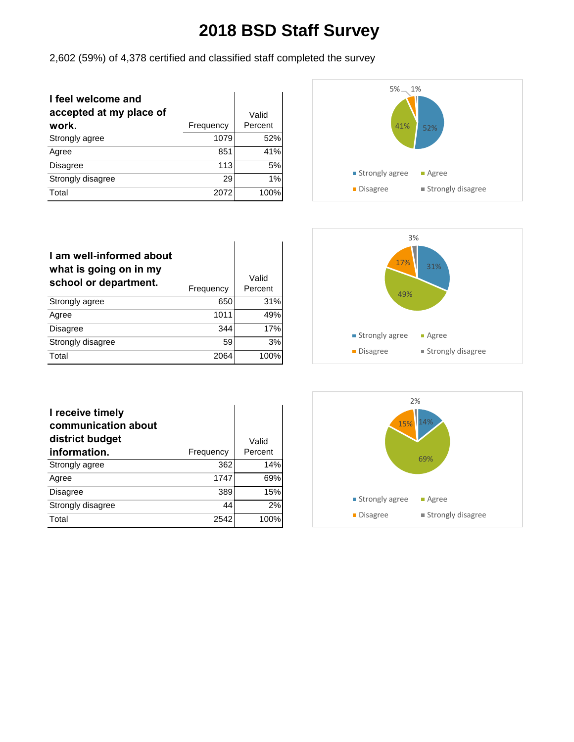2,602 (59%) of 4,378 certified and classified staff completed the survey

| I feel welcome and<br>accepted at my place of<br>work. | Frequency | Valid<br>Percent |
|--------------------------------------------------------|-----------|------------------|
| Strongly agree                                         | 1079      | 52%              |
| Agree                                                  | 851       | 41%              |
| <b>Disagree</b>                                        | 113       | 5%               |
| Strongly disagree                                      | 29        | 1%               |
| Total                                                  | 2072      | 100%             |



| I am well-informed about<br>what is going on in my<br>school or department. | Frequency | Valid<br>Percent |
|-----------------------------------------------------------------------------|-----------|------------------|
| Strongly agree                                                              | 650       | 31%              |
| Agree                                                                       | 1011      | 49%              |
| <b>Disagree</b>                                                             | 344       | 17%              |
| Strongly disagree                                                           | 59        | 3%               |
| Total                                                                       | 2064      | 100%             |



| I receive timely<br>communication about<br>district budget |           | Valid   |
|------------------------------------------------------------|-----------|---------|
| information.                                               | Frequency | Percent |
| Strongly agree                                             | 362       | 14%     |
| Agree                                                      | 1747      | 69%     |
| <b>Disagree</b>                                            | 389       | 15%     |
| Strongly disagree                                          | 44        | 2%      |
| Total                                                      | 2542      | 100%    |

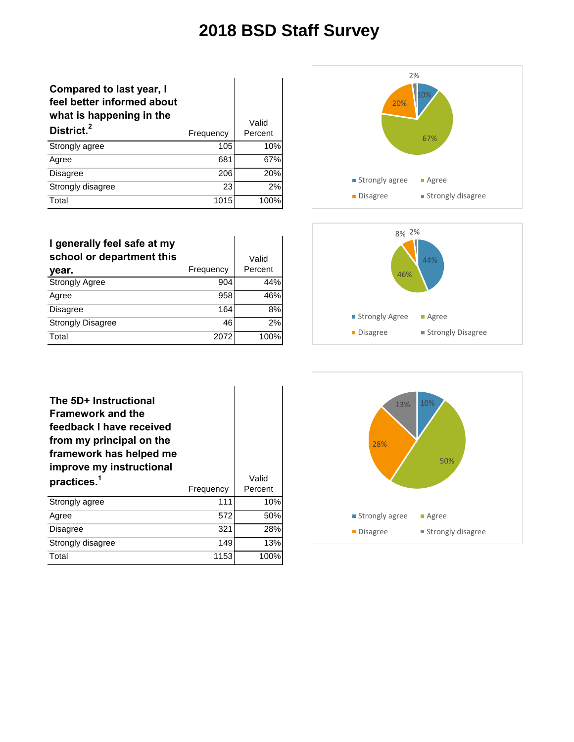| <b>Compared to last year, I</b><br>feel better informed about<br>what is happening in the<br>District. <sup>2</sup> | Frequency | Valid<br>Percent |
|---------------------------------------------------------------------------------------------------------------------|-----------|------------------|
| Strongly agree                                                                                                      | 105       | 10%              |
| Agree                                                                                                               | 681       | 67%              |
| <b>Disagree</b>                                                                                                     | 206       | 20%              |
| Strongly disagree                                                                                                   | 23        | 2%               |
| Total                                                                                                               | 1015      | 100%             |



| I generally feel safe at my<br>school or department this<br>year. | Frequency | Valid<br>Percent |
|-------------------------------------------------------------------|-----------|------------------|
| <b>Strongly Agree</b>                                             | 904       | 44%              |
| Agree                                                             | 958       | 46%              |
| <b>Disagree</b>                                                   | 164       | 8%               |
| <b>Strongly Disagree</b>                                          | 46        | 2%               |
| Total                                                             | 2072      | 100%             |



| The 5D+ Instructional<br><b>Framework and the</b><br>feedback I have received<br>from my principal on the<br>framework has helped me<br>improve my instructional |           |                  |
|------------------------------------------------------------------------------------------------------------------------------------------------------------------|-----------|------------------|
| practices. <sup>1</sup>                                                                                                                                          | Frequency | Valid<br>Percent |
| Strongly agree                                                                                                                                                   | 111       | 10%              |
| Agree                                                                                                                                                            | 572       | 50%              |
| <b>Disagree</b>                                                                                                                                                  | 321       | 28%              |
| Strongly disagree                                                                                                                                                | 149       | 13%              |
| Total                                                                                                                                                            | 1153      | 100%             |

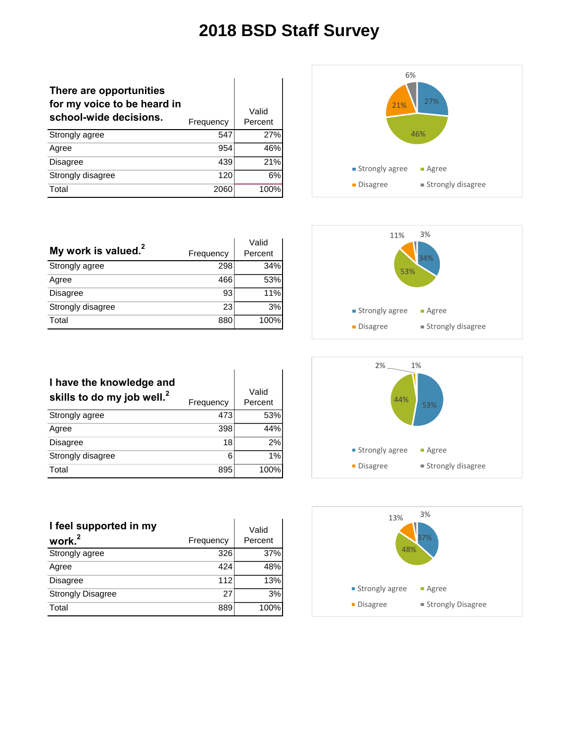| There are opportunities<br>for my voice to be heard in<br>school-wide decisions. | Frequency | Valid<br>Percent |
|----------------------------------------------------------------------------------|-----------|------------------|
| Strongly agree                                                                   | 547       | 27%              |
| Agree                                                                            | 954       | 46%              |
| <b>Disagree</b>                                                                  | 439       | 21%              |
| Strongly disagree                                                                | 120       | 6%               |
| Total                                                                            | 2060      | 100%             |



|                                 |           | Valid   |
|---------------------------------|-----------|---------|
| My work is valued. <sup>2</sup> | Frequency | Percent |
| Strongly agree                  | 298       | 34%     |
| Agree                           | 466       | 53%     |
| Disagree                        | 93        | 11%     |
| Strongly disagree               | 23        | 3%      |
| Total                           | 880       | 100%    |



| I have the knowledge and<br>skills to do my job well. <sup>2</sup> | Frequency | Valid<br>Percent |
|--------------------------------------------------------------------|-----------|------------------|
| Strongly agree                                                     | 473       | 53%              |
| Agree                                                              | 398       | 44%              |
| <b>Disagree</b>                                                    | 18        | 2%               |
| Strongly disagree                                                  | 6         | 1%               |
| Total                                                              | 895       | 100%             |

| I feel supported in my   |           | Valid   |
|--------------------------|-----------|---------|
| work. <sup>2</sup>       | Frequency | Percent |
| Strongly agree           | 326       | 37%     |
| Agree                    | 424       | 48%     |
| <b>Disagree</b>          | 112       | 13%     |
| <b>Strongly Disagree</b> | 27        | 3%      |
| Total                    | 889       | 100%    |



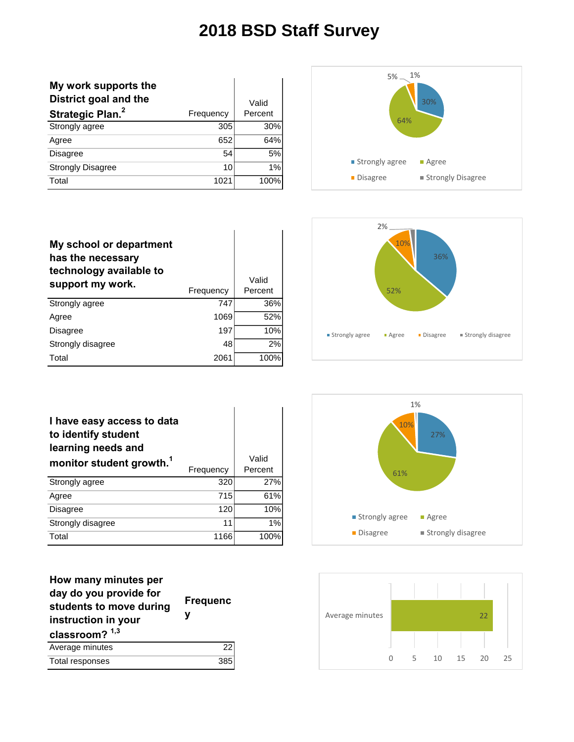| My work supports the<br>District goal and the |           | Valid   |
|-----------------------------------------------|-----------|---------|
| Strategic Plan. <sup>2</sup>                  | Frequency | Percent |
| Strongly agree                                | 305       | 30%     |
| Agree                                         | 652       | 64%     |
| <b>Disagree</b>                               | 54        | 5%      |
| <b>Strongly Disagree</b>                      | 10        | 1%      |
| Total                                         | 1021      | 100%    |



| My school or department<br>has the necessary<br>technology available to<br>support my work. | Frequency | Valid<br>Percent |
|---------------------------------------------------------------------------------------------|-----------|------------------|
| Strongly agree                                                                              | 747       | 36%              |
| Agree                                                                                       | 1069      | 52%              |
| <b>Disagree</b>                                                                             | 197       | 10%              |
| Strongly disagree                                                                           | 48        | 2%               |
| Total                                                                                       | 2061      | 100%             |



| I have easy access to data<br>to identify student<br>learning needs and<br>monitor student growth. <sup>1</sup> | Frequency | Valid<br>Percent |
|-----------------------------------------------------------------------------------------------------------------|-----------|------------------|
| Strongly agree                                                                                                  | 320       | 27%              |
| Agree                                                                                                           | 715       | 61%              |
| <b>Disagree</b>                                                                                                 | 120       | 10%              |
| Strongly disagree                                                                                               | 11        | 1%               |
| Total                                                                                                           | 1166      | 100%             |

| How many minutes per<br>day do you provide for<br>students to move during<br>instruction in your<br>classroom? $1,3$ | <b>Frequenc</b><br>ν |
|----------------------------------------------------------------------------------------------------------------------|----------------------|
| Average minutes                                                                                                      | 22                   |
| Total responses                                                                                                      | 385                  |



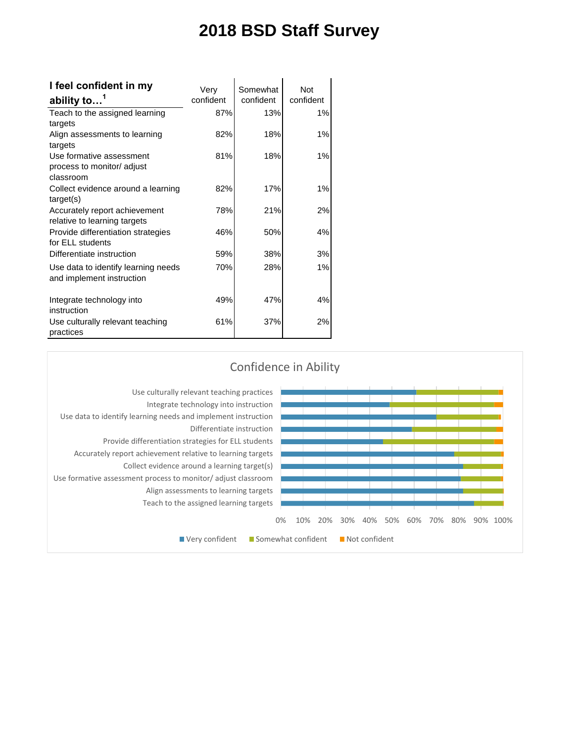| I feel confident in my              | Very      | Somewhat  | <b>Not</b> |
|-------------------------------------|-----------|-----------|------------|
| ability to <sup>1</sup>             | confident | confident | confident  |
| Teach to the assigned learning      | 87%       | 13%       | 1%         |
| targets                             |           |           |            |
| Align assessments to learning       | 82%       | 18%       | 1%         |
| targets                             |           |           |            |
| Use formative assessment            | 81%       | 18%       | 1%         |
| process to monitor/ adjust          |           |           |            |
| classroom                           |           |           |            |
| Collect evidence around a learning  | 82%       | 17%       | 1%         |
| target(s)                           |           |           |            |
| Accurately report achievement       | 78%       | 21%       | 2%         |
| relative to learning targets        |           |           |            |
| Provide differentiation strategies  | 46%       | 50%       | 4%         |
| for ELL students                    |           |           |            |
| Differentiate instruction           | 59%       | 38%       | 3%         |
| Use data to identify learning needs | 70%       | 28%       | 1%         |
| and implement instruction           |           |           |            |
|                                     |           |           |            |
| Integrate technology into           | 49%       | 47%       | 4%         |
| instruction                         |           |           |            |
| Use culturally relevant teaching    | 61%       | 37%       | 2%         |
| practices                           |           |           |            |

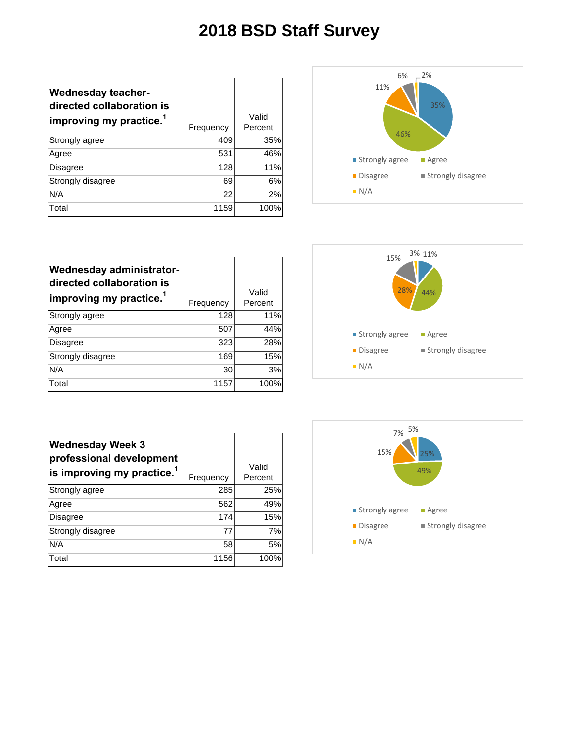| <b>Wednesday teacher-</b><br>directed collaboration is<br>improving my practice. <sup>1</sup> | Frequency | Valid<br>Percent |
|-----------------------------------------------------------------------------------------------|-----------|------------------|
| Strongly agree                                                                                | 409       | 35%              |
| Agree                                                                                         | 531       | 46%              |
| <b>Disagree</b>                                                                               | 128       | 11%              |
| Strongly disagree                                                                             | 69        | 6%               |
| N/A                                                                                           | 22        | 2%               |
| Total                                                                                         | 1159      | 100%             |



| Wednesday administrator-<br>directed collaboration is<br>improving my practice. <sup>1</sup> | Frequency | Valid<br>Percent |
|----------------------------------------------------------------------------------------------|-----------|------------------|
| Strongly agree                                                                               | 128       | 11%              |
| Agree                                                                                        | 507       | 44%              |
| <b>Disagree</b>                                                                              | 323       | 28%              |
| Strongly disagree                                                                            | 169       | 15%              |
| N/A                                                                                          | 30        | 3%               |
| Total                                                                                        | 1157      | 100%             |



| <b>Wednesday Week 3</b><br>professional development<br>is improving my practice. <sup>1</sup> | Frequency | Valid<br>Percent |
|-----------------------------------------------------------------------------------------------|-----------|------------------|
| Strongly agree                                                                                | 285       | 25%              |
| Agree                                                                                         | 562       | 49%              |
| <b>Disagree</b>                                                                               | 174       | 15%              |
| Strongly disagree                                                                             | 77        | 7%               |
| N/A                                                                                           | 58        | 5%               |
| Total                                                                                         | 1156      | 100%             |

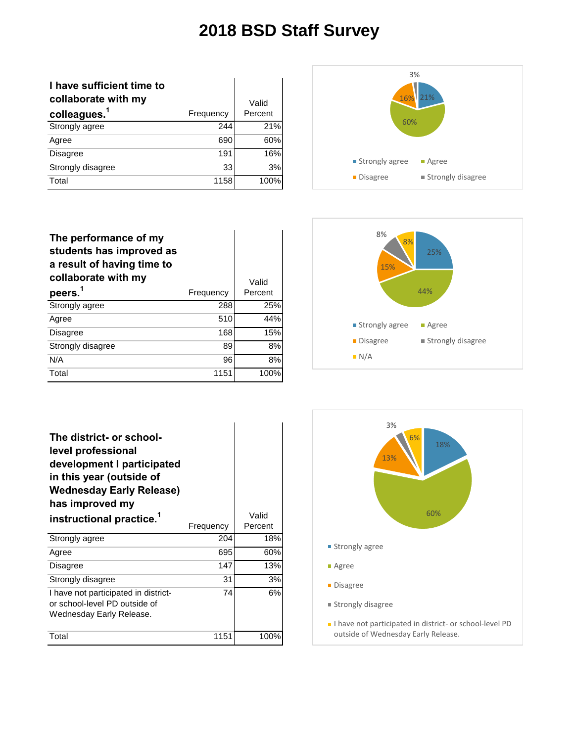| I have sufficient time to |           |         |
|---------------------------|-----------|---------|
| collaborate with my       |           | Valid   |
| colleagues. <sup>1</sup>  | Frequency | Percent |
| Strongly agree            | 244       | 21%     |
| Agree                     | 690       | 60%     |
| <b>Disagree</b>           | 191       | 16%     |
| Strongly disagree         | 33        | 3%      |
| Total                     | 1158      | 100%    |



| The performance of my<br>students has improved as<br>a result of having time to<br>collaborate with my |           | Valid   |
|--------------------------------------------------------------------------------------------------------|-----------|---------|
| peers. <sup>1</sup>                                                                                    | Frequency | Percent |
| Strongly agree                                                                                         | 288       | 25%     |
| Agree                                                                                                  | 510       | 44%     |
| <b>Disagree</b>                                                                                        | 168       | 15%     |
| Strongly disagree                                                                                      | 89        | 8%      |
| N/A                                                                                                    | 96        | 8%      |
| Total                                                                                                  | 1151      | 100%    |



| The district- or school-<br>level professional<br>development I participated<br>in this year (outside of<br><b>Wednesday Early Release)</b><br>has improved my<br>instructional practice. <sup>1</sup> | Frequency | Valid<br>Percent |
|--------------------------------------------------------------------------------------------------------------------------------------------------------------------------------------------------------|-----------|------------------|
| Strongly agree                                                                                                                                                                                         | 204       | 18%              |
| Agree                                                                                                                                                                                                  | 695       | 60%              |
| <b>Disagree</b>                                                                                                                                                                                        | 147       | 13%              |
| Strongly disagree                                                                                                                                                                                      | 31        | 3%               |
| I have not participated in district-<br>or school-level PD outside of<br>Wednesday Early Release.                                                                                                      | 74        | 6%               |
| Total                                                                                                                                                                                                  | 1151      | 100%             |

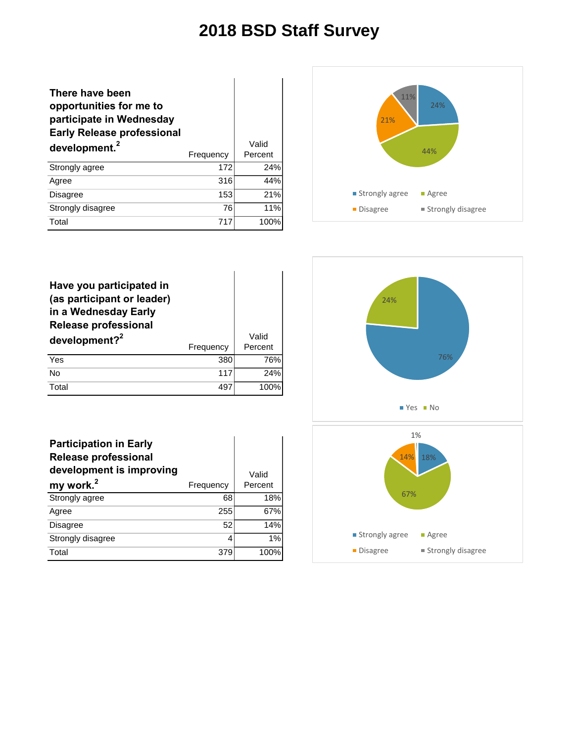Valid

#### **There have been opportunities for me to participate in Wednesday Early Release professional development.<sup>2</sup>** Frequency Percent Strongly agree 172 24% Agree 316 44% Disagree 153 21% Strongly disagree 76 76 11%



| Have you participated in<br>(as participant or leader)<br>in a Wednesday Early<br><b>Release professional</b> |           |                  |
|---------------------------------------------------------------------------------------------------------------|-----------|------------------|
| development? <sup>2</sup>                                                                                     | Frequency | Valid<br>Percent |
| Yes                                                                                                           | 380       | 76%              |
| <b>No</b>                                                                                                     | 117       | 24%              |
| Total                                                                                                         | 497       |                  |

Total 717 100%

| <b>Participation in Early</b><br><b>Release professional</b><br>development is improving |           | Valid   |
|------------------------------------------------------------------------------------------|-----------|---------|
| my work. <sup>2</sup>                                                                    | Frequency | Percent |
| Strongly agree                                                                           | 68        | 18%     |
| Agree                                                                                    | 255       | 67%     |
| <b>Disagree</b>                                                                          | 52        | 14%     |
| Strongly disagree                                                                        | 4         | 1%      |
| Total                                                                                    | 379       | 100%    |